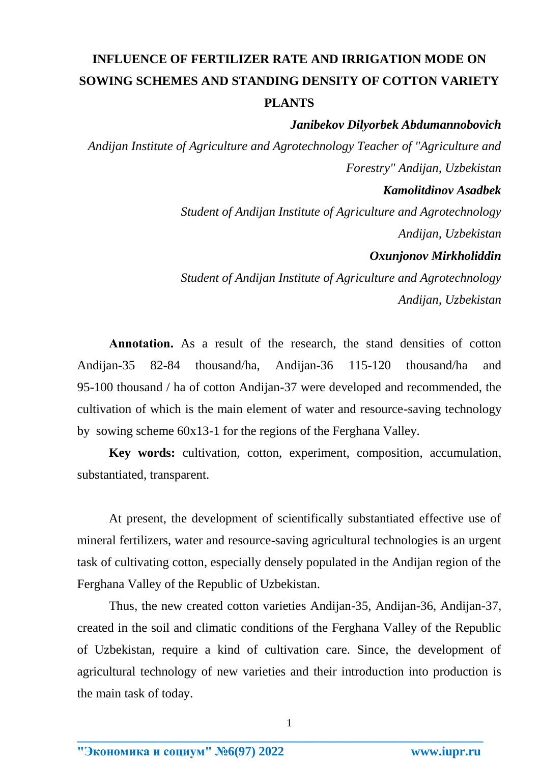## **INFLUENCE OF FERTILIZER RATE AND IRRIGATION MODE ON SOWING SCHEMES AND STANDING DENSITY OF COTTON VARIETY PLANTS**

## *Janibekov Dilyorbek Abdumannobovich*

*Andijan Institute of Agriculture and Agrotechnology Teacher of "Agriculture and Forestry" Andijan, Uzbekistan Kamolitdinov Asadbek* 

> *Student of Andijan Institute of Agriculture and Agrotechnology Andijan, Uzbekistan*

## *Oxunjonov Mirkholiddin*

*Student of Andijan Institute of Agriculture and Agrotechnology Andijan, Uzbekistan*

**Аnnotation.** As a result of the research, the stand densities of cotton Andijan-35 82-84 thousand/ha, Andijan-36 115-120 thousand/ha and 95-100 thousand / ha of cotton Andijan-37 were developed and recommended, the cultivation of which is the main element of water and resource-saving technology by sowing scheme 60x13-1 for the regions of the Ferghana Valley.

**Key words:** cultivation, cotton, experiment, composition, accumulation, substantiated, transparent.

At present, the development of scientifically substantiated effective use of mineral fertilizers, water and resource-saving agricultural technologies is an urgent task of cultivating cotton, especially densely populated in the Andijan region of the Ferghana Valley of the Republic of Uzbekistan.

Thus, the new created cotton varieties Andijan-35, Andijan-36, Andijan-37, created in the soil and climatic conditions of the Ferghana Valley of the Republic of Uzbekistan, require a kind of cultivation care. Since, the development of agricultural technology of new varieties and their introduction into production is the main task of today.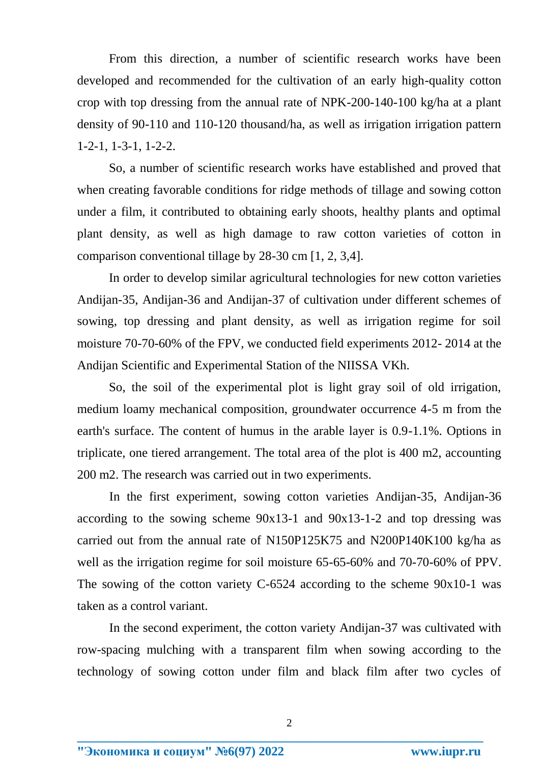From this direction, a number of scientific research works have been developed and recommended for the cultivation of an early high-quality cotton crop with top dressing from the annual rate of NPK-200-140-100 kg/ha at a plant density of 90-110 and 110-120 thousand/ha, as well as irrigation irrigation pattern 1-2-1, 1-3-1, 1-2-2.

So, a number of scientific research works have established and proved that when creating favorable conditions for ridge methods of tillage and sowing cotton under a film, it contributed to obtaining early shoots, healthy plants and optimal plant density, as well as high damage to raw cotton varieties of cotton in comparison conventional tillage by 28-30 cm [1, 2, 3,4].

In order to develop similar agricultural technologies for new cotton varieties Andijan-35, Andijan-36 and Andijan-37 of cultivation under different schemes of sowing, top dressing and plant density, as well as irrigation regime for soil moisture 70-70-60% of the FPV, we conducted field experiments 2012- 2014 at the Andijan Scientific and Experimental Station of the NIISSA VKh.

So, the soil of the experimental plot is light gray soil of old irrigation, medium loamy mechanical composition, groundwater occurrence 4-5 m from the earth's surface. The content of humus in the arable layer is 0.9-1.1%. Options in triplicate, one tiered arrangement. The total area of the plot is 400 m2, accounting 200 m2. The research was carried out in two experiments.

In the first experiment, sowing cotton varieties Andijan-35, Andijan-36 according to the sowing scheme 90x13-1 and 90x13-1-2 and top dressing was carried out from the annual rate of N150P125K75 and N200P140K100 kg/ha as well as the irrigation regime for soil moisture 65-65-60% and 70-70-60% of PPV. The sowing of the cotton variety C-6524 according to the scheme 90x10-1 was taken as a control variant.

In the second experiment, the cotton variety Andijan-37 was cultivated with row-spacing mulching with a transparent film when sowing according to the technology of sowing cotton under film and black film after two cycles of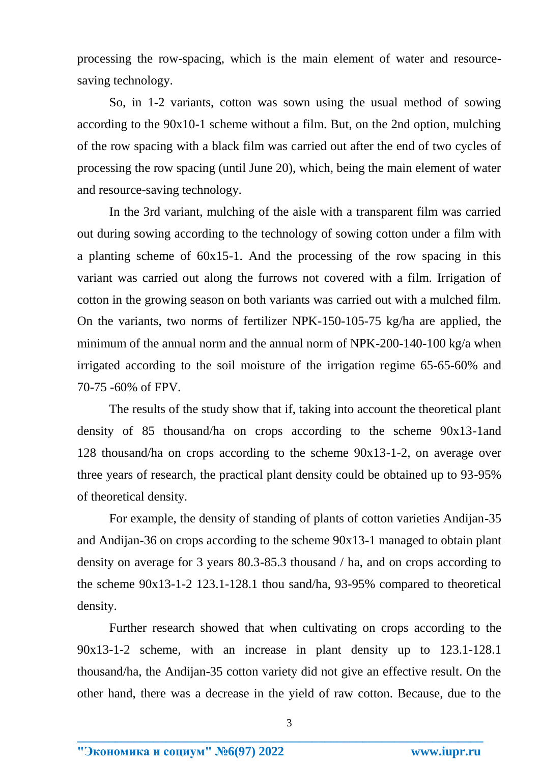processing the row-spacing, which is the main element of water and resourcesaving technology.

So, in 1-2 variants, cotton was sown using the usual method of sowing according to the 90x10-1 scheme without a film. But, on the 2nd option, mulching of the row spacing with a black film was carried out after the end of two cycles of processing the row spacing (until June 20), which, being the main element of water and resource-saving technology.

In the 3rd variant, mulching of the aisle with a transparent film was carried out during sowing according to the technology of sowing cotton under a film with a planting scheme of 60x15-1. And the processing of the row spacing in this variant was carried out along the furrows not covered with a film. Irrigation of cotton in the growing season on both variants was carried out with a mulched film. On the variants, two norms of fertilizer NPK-150-105-75 kg/ha are applied, the minimum of the annual norm and the annual norm of NPK-200-140-100 kg/a when irrigated according to the soil moisture of the irrigation regime 65-65-60% and 70-75 -60% of FPV.

The results of the study show that if, taking into account the theoretical plant density of 85 thousand/ha on crops according to the scheme 90x13-1and 128 thousand/ha on crops according to the scheme 90x13-1-2, on average over three years of research, the practical plant density could be obtained up to 93-95% of theoretical density.

For example, the density of standing of plants of cotton varieties Andijan-35 and Andijan-36 on crops according to the scheme 90x13-1 managed to obtain plant density on average for 3 years 80.3-85.3 thousand / ha, and on crops according to the scheme 90x13-1-2 123.1-128.1 thou sand/ha, 93-95% compared to theoretical density.

Further research showed that when cultivating on crops according to the 90x13-1-2 scheme, with an increase in plant density up to 123.1-128.1 thousand/ha, the Andijan-35 cotton variety did not give an effective result. On the other hand, there was a decrease in the yield of raw cotton. Because, due to the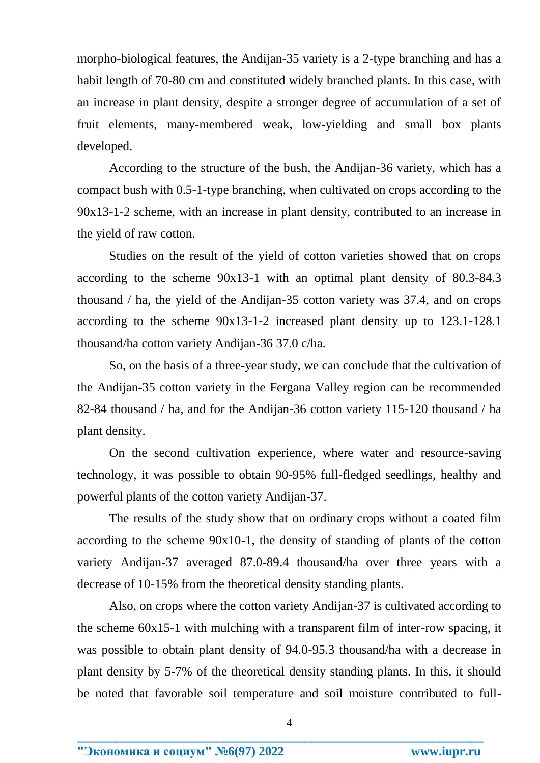morpho-biological features, the Andijan-35 variety is a 2-type branching and has a habit length of 70-80 cm and constituted widely branched plants. In this case, with an increase in plant density, despite a stronger degree of accumulation of a set of fruit elements, many-membered weak, low-yielding and small box plants developed.

According to the structure of the bush, the Andijan-36 variety, which has a compact bush with 0.5-1-type branching, when cultivated on crops according to the 90x13-1-2 scheme, with an increase in plant density, contributed to an increase in the yield of raw cotton.

Studies on the result of the yield of cotton varieties showed that on crops according to the scheme 90x13-1 with an optimal plant density of 80.3-84.3 thousand / ha, the yield of the Andijan-35 cotton variety was 37.4, and on crops according to the scheme 90x13-1-2 increased plant density up to 123.1-128.1 thousand/ha cotton variety Andijan-36 37.0 c/ha.

So, on the basis of a three-year study, we can conclude that the cultivation of the Andijan-35 cotton variety in the Fergana Valley region can be recommended 82-84 thousand / ha, and for the Andijan-36 cotton variety 115-120 thousand / ha plant density.

On the second cultivation experience, where water and resource-saving technology, it was possible to obtain 90-95% full-fledged seedlings, healthy and powerful plants of the cotton variety Andijan-37.

The results of the study show that on ordinary crops without a coated film according to the scheme 90x10-1, the density of standing of plants of the cotton variety Andijan-37 averaged 87.0-89.4 thousand/ha over three years with a decrease of 10-15% from the theoretical density standing plants.

Also, on crops where the cotton variety Andijan-37 is cultivated according to the scheme 60x15-1 with mulching with a transparent film of inter-row spacing, it was possible to obtain plant density of 94.0-95.3 thousand/ha with a decrease in plant density by 5-7% of the theoretical density standing plants. In this, it should be noted that favorable soil temperature and soil moisture contributed to full-